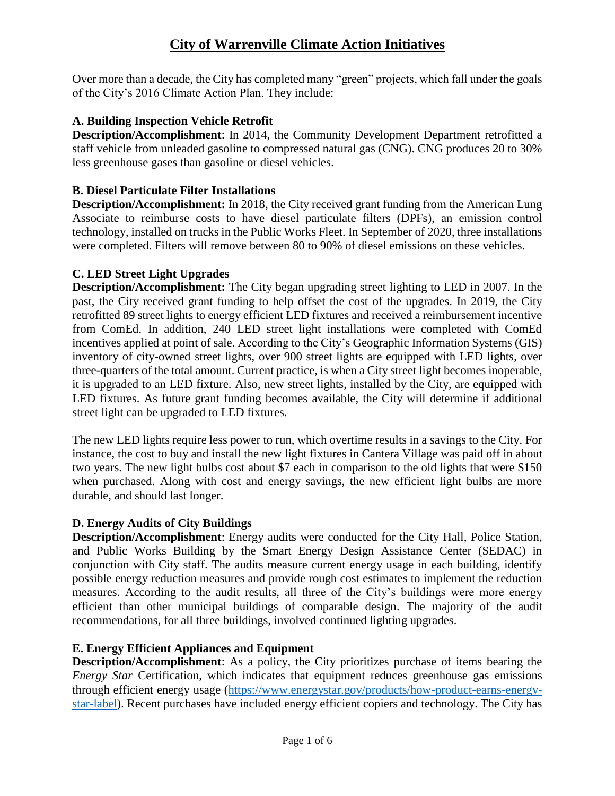Over more than a decade, the City has completed many "green" projects, which fall under the goals of the City's 2016 Climate Action Plan. They include:

### **A. Building Inspection Vehicle Retrofit**

**Description/Accomplishment**: In 2014, the Community Development Department retrofitted a staff vehicle from unleaded gasoline to compressed natural gas (CNG). CNG produces 20 to 30% less greenhouse gases than gasoline or diesel vehicles.

### **B. Diesel Particulate Filter Installations**

**Description/Accomplishment:** In 2018, the City received grant funding from the American Lung Associate to reimburse costs to have diesel particulate filters (DPFs), an emission control technology, installed on trucks in the Public Works Fleet. In September of 2020, three installations were completed. Filters will remove between 80 to 90% of diesel emissions on these vehicles.

### **C. LED Street Light Upgrades**

**Description/Accomplishment:** The City began upgrading street lighting to LED in 2007. In the past, the City received grant funding to help offset the cost of the upgrades. In 2019, the City retrofitted 89 street lights to energy efficient LED fixtures and received a reimbursement incentive from ComEd. In addition, 240 LED street light installations were completed with ComEd incentives applied at point of sale. According to the City's Geographic Information Systems (GIS) inventory of city-owned street lights, over 900 street lights are equipped with LED lights, over three-quarters of the total amount. Current practice, is when a City street light becomes inoperable, it is upgraded to an LED fixture. Also, new street lights, installed by the City, are equipped with LED fixtures. As future grant funding becomes available, the City will determine if additional street light can be upgraded to LED fixtures.

The new LED lights require less power to run, which overtime results in a savings to the City. For instance, the cost to buy and install the new light fixtures in Cantera Village was paid off in about two years. The new light bulbs cost about \$7 each in comparison to the old lights that were \$150 when purchased. Along with cost and energy savings, the new efficient light bulbs are more durable, and should last longer.

#### **D. Energy Audits of City Buildings**

**Description/Accomplishment**: Energy audits were conducted for the City Hall, Police Station, and Public Works Building by the Smart Energy Design Assistance Center (SEDAC) in conjunction with City staff. The audits measure current energy usage in each building, identify possible energy reduction measures and provide rough cost estimates to implement the reduction measures. According to the audit results, all three of the City's buildings were more energy efficient than other municipal buildings of comparable design. The majority of the audit recommendations, for all three buildings, involved continued lighting upgrades.

#### **E. Energy Efficient Appliances and Equipment**

**Description/Accomplishment**: As a policy, the City prioritizes purchase of items bearing the *Energy Star Certification, which indicates that equipment reduces greenhouse gas emissions* through efficient energy usage [\(https://www.energystar.gov/products/how-product-earns-energy](https://www.energystar.gov/products/how-product-earns-energy-star-label)[star-label\)](https://www.energystar.gov/products/how-product-earns-energy-star-label). Recent purchases have included energy efficient copiers and technology. The City has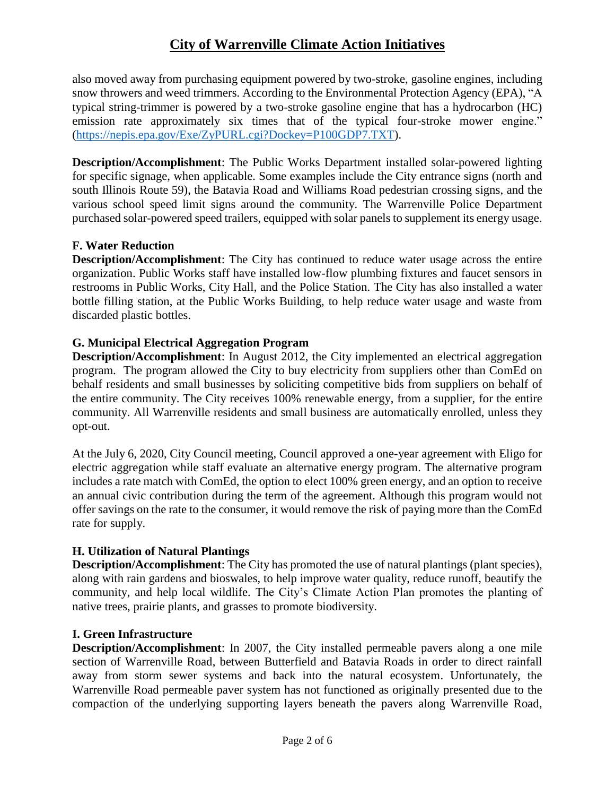also moved away from purchasing equipment powered by two-stroke, gasoline engines, including snow throwers and weed trimmers. According to the Environmental Protection Agency (EPA), "A typical string-trimmer is powered by a two-stroke gasoline engine that has a hydrocarbon (HC) emission rate approximately six times that of the typical four-stroke mower engine." [\(https://nepis.epa.gov/Exe/ZyPURL.cgi?Dockey=P100GDP7.TXT\)](https://nepis.epa.gov/Exe/ZyPURL.cgi?Dockey=P100GDP7.TXT).

**Description/Accomplishment**: The Public Works Department installed solar-powered lighting for specific signage, when applicable. Some examples include the City entrance signs (north and south Illinois Route 59), the Batavia Road and Williams Road pedestrian crossing signs, and the various school speed limit signs around the community. The Warrenville Police Department purchased solar-powered speed trailers, equipped with solar panels to supplement its energy usage.

### **F. Water Reduction**

**Description/Accomplishment**: The City has continued to reduce water usage across the entire organization. Public Works staff have installed low-flow plumbing fixtures and faucet sensors in restrooms in Public Works, City Hall, and the Police Station. The City has also installed a water bottle filling station, at the Public Works Building, to help reduce water usage and waste from discarded plastic bottles.

### **G. Municipal Electrical Aggregation Program**

**Description/Accomplishment**: In August 2012, the City implemented an electrical aggregation program. The program allowed the City to buy electricity from suppliers other than ComEd on behalf residents and small businesses by soliciting competitive bids from suppliers on behalf of the entire community. The City receives 100% renewable energy, from a supplier, for the entire community. All Warrenville residents and small business are automatically enrolled, unless they opt-out.

At the July 6, 2020, City Council meeting, Council approved a one-year agreement with Eligo for electric aggregation while staff evaluate an alternative energy program. The alternative program includes a rate match with ComEd, the option to elect 100% green energy, and an option to receive an annual civic contribution during the term of the agreement. Although this program would not offer savings on the rate to the consumer, it would remove the risk of paying more than the ComEd rate for supply.

# **H. Utilization of Natural Plantings**

**Description/Accomplishment**: The City has promoted the use of natural plantings (plant species), along with rain gardens and bioswales, to help improve water quality, reduce runoff, beautify the community, and help local wildlife. The City's Climate Action Plan promotes the planting of native trees, prairie plants, and grasses to promote biodiversity.

#### **I. Green Infrastructure**

**Description/Accomplishment**: In 2007, the City installed permeable pavers along a one mile section of Warrenville Road, between Butterfield and Batavia Roads in order to direct rainfall away from storm sewer systems and back into the natural ecosystem. Unfortunately, the Warrenville Road permeable paver system has not functioned as originally presented due to the compaction of the underlying supporting layers beneath the pavers along Warrenville Road,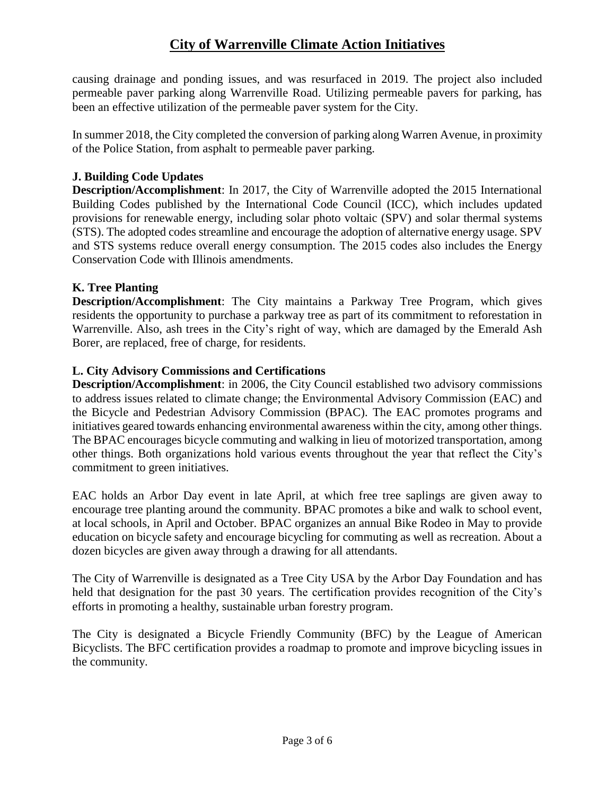causing drainage and ponding issues, and was resurfaced in 2019. The project also included permeable paver parking along Warrenville Road. Utilizing permeable pavers for parking, has been an effective utilization of the permeable paver system for the City.

In summer 2018, the City completed the conversion of parking along Warren Avenue, in proximity of the Police Station, from asphalt to permeable paver parking.

# **J. Building Code Updates**

**Description/Accomplishment**: In 2017, the City of Warrenville adopted the 2015 International Building Codes published by the International Code Council (ICC), which includes updated provisions for renewable energy, including solar photo voltaic (SPV) and solar thermal systems (STS). The adopted codes streamline and encourage the adoption of alternative energy usage. SPV and STS systems reduce overall energy consumption. The 2015 codes also includes the Energy Conservation Code with Illinois amendments.

# **K. Tree Planting**

**Description/Accomplishment**: The City maintains a Parkway Tree Program, which gives residents the opportunity to purchase a parkway tree as part of its commitment to reforestation in Warrenville. Also, ash trees in the City's right of way, which are damaged by the Emerald Ash Borer, are replaced, free of charge, for residents.

# **L. City Advisory Commissions and Certifications**

**Description/Accomplishment**: in 2006, the City Council established two advisory commissions to address issues related to climate change; the Environmental Advisory Commission (EAC) and the Bicycle and Pedestrian Advisory Commission (BPAC). The EAC promotes programs and initiatives geared towards enhancing environmental awareness within the city, among other things. The BPAC encourages bicycle commuting and walking in lieu of motorized transportation, among other things. Both organizations hold various events throughout the year that reflect the City's commitment to green initiatives.

EAC holds an Arbor Day event in late April, at which free tree saplings are given away to encourage tree planting around the community. BPAC promotes a bike and walk to school event, at local schools, in April and October. BPAC organizes an annual Bike Rodeo in May to provide education on bicycle safety and encourage bicycling for commuting as well as recreation. About a dozen bicycles are given away through a drawing for all attendants.

The City of Warrenville is designated as a Tree City USA by the Arbor Day Foundation and has held that designation for the past 30 years. The certification provides recognition of the City's efforts in promoting a healthy, sustainable urban forestry program.

The City is designated a Bicycle Friendly Community (BFC) by the League of American Bicyclists. The BFC certification provides a roadmap to promote and improve bicycling issues in the community.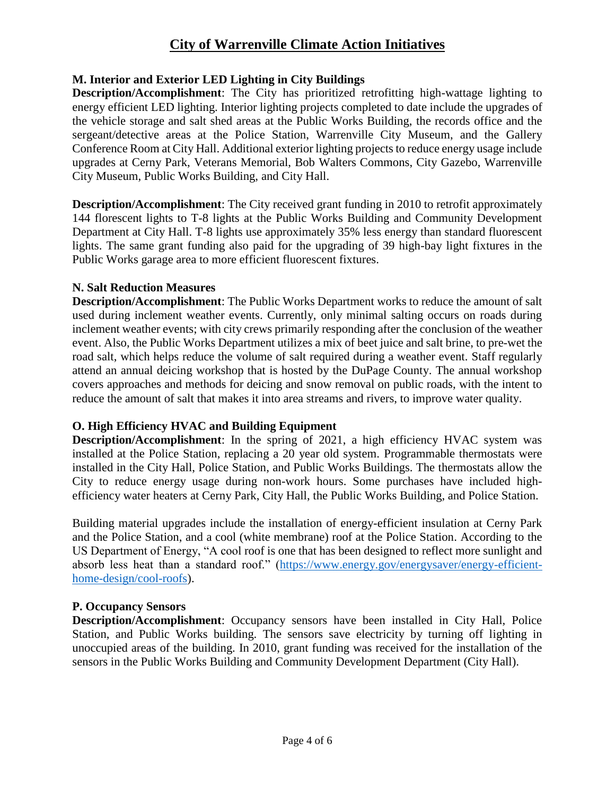#### **M. Interior and Exterior LED Lighting in City Buildings**

**Description/Accomplishment**: The City has prioritized retrofitting high-wattage lighting to energy efficient LED lighting. Interior lighting projects completed to date include the upgrades of the vehicle storage and salt shed areas at the Public Works Building, the records office and the sergeant/detective areas at the Police Station, Warrenville City Museum, and the Gallery Conference Room at City Hall. Additional exterior lighting projects to reduce energy usage include upgrades at Cerny Park, Veterans Memorial, Bob Walters Commons, City Gazebo, Warrenville City Museum, Public Works Building, and City Hall.

**Description/Accomplishment**: The City received grant funding in 2010 to retrofit approximately 144 florescent lights to T-8 lights at the Public Works Building and Community Development Department at City Hall. T-8 lights use approximately 35% less energy than standard fluorescent lights. The same grant funding also paid for the upgrading of 39 high-bay light fixtures in the Public Works garage area to more efficient fluorescent fixtures.

#### **N. Salt Reduction Measures**

**Description/Accomplishment**: The Public Works Department works to reduce the amount of salt used during inclement weather events. Currently, only minimal salting occurs on roads during inclement weather events; with city crews primarily responding after the conclusion of the weather event. Also, the Public Works Department utilizes a mix of beet juice and salt brine, to pre-wet the road salt, which helps reduce the volume of salt required during a weather event. Staff regularly attend an annual deicing workshop that is hosted by the DuPage County. The annual workshop covers approaches and methods for deicing and snow removal on public roads, with the intent to reduce the amount of salt that makes it into area streams and rivers, to improve water quality.

#### **O. High Efficiency HVAC and Building Equipment**

**Description/Accomplishment**: In the spring of 2021, a high efficiency HVAC system was installed at the Police Station, replacing a 20 year old system. Programmable thermostats were installed in the City Hall, Police Station, and Public Works Buildings. The thermostats allow the City to reduce energy usage during non-work hours. Some purchases have included highefficiency water heaters at Cerny Park, City Hall, the Public Works Building, and Police Station.

Building material upgrades include the installation of energy-efficient insulation at Cerny Park and the Police Station, and a cool (white membrane) roof at the Police Station. According to the US Department of Energy, "A cool roof is one that has been designed to reflect more sunlight and absorb less heat than a standard roof." [\(https://www.energy.gov/energysaver/energy-efficient](https://www.energy.gov/energysaver/energy-efficient-home-design/cool-roofs)[home-design/cool-roofs\)](https://www.energy.gov/energysaver/energy-efficient-home-design/cool-roofs).

#### **P. Occupancy Sensors**

**Description/Accomplishment**: Occupancy sensors have been installed in City Hall, Police Station, and Public Works building. The sensors save electricity by turning off lighting in unoccupied areas of the building. In 2010, grant funding was received for the installation of the sensors in the Public Works Building and Community Development Department (City Hall).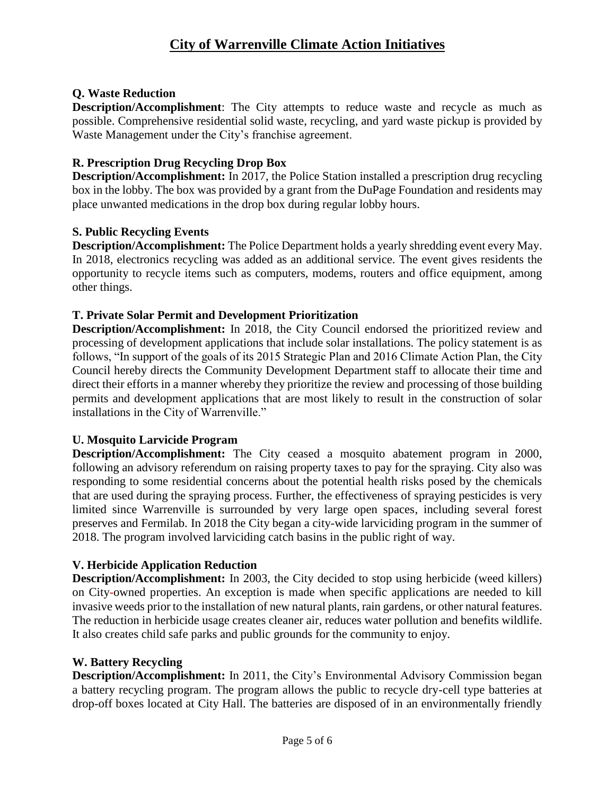# **Q. Waste Reduction**

**Description/Accomplishment**: The City attempts to reduce waste and recycle as much as possible. Comprehensive residential solid waste, recycling, and yard waste pickup is provided by Waste Management under the City's franchise agreement.

# **R. Prescription Drug Recycling Drop Box**

**Description/Accomplishment:** In 2017, the Police Station installed a prescription drug recycling box in the lobby. The box was provided by a grant from the DuPage Foundation and residents may place unwanted medications in the drop box during regular lobby hours.

# **S. Public Recycling Events**

**Description/Accomplishment:** The Police Department holds a yearly shredding event every May. In 2018, electronics recycling was added as an additional service. The event gives residents the opportunity to recycle items such as computers, modems, routers and office equipment, among other things.

# **T. Private Solar Permit and Development Prioritization**

**Description/Accomplishment:** In 2018, the City Council endorsed the prioritized review and processing of development applications that include solar installations. The policy statement is as follows, "In support of the goals of its 2015 Strategic Plan and 2016 Climate Action Plan, the City Council hereby directs the Community Development Department staff to allocate their time and direct their efforts in a manner whereby they prioritize the review and processing of those building permits and development applications that are most likely to result in the construction of solar installations in the City of Warrenville."

# **U. Mosquito Larvicide Program**

**Description/Accomplishment:** The City ceased a mosquito abatement program in 2000, following an advisory referendum on raising property taxes to pay for the spraying. City also was responding to some residential concerns about the potential health risks posed by the chemicals that are used during the spraying process. Further, the effectiveness of spraying pesticides is very limited since Warrenville is surrounded by very large open spaces, including several forest preserves and Fermilab. In 2018 the City began a city-wide larviciding program in the summer of 2018. The program involved larviciding catch basins in the public right of way.

# **V. Herbicide Application Reduction**

**Description/Accomplishment:** In 2003, the City decided to stop using herbicide (weed killers) on City-owned properties. An exception is made when specific applications are needed to kill invasive weeds prior to the installation of new natural plants, rain gardens, or other natural features. The reduction in herbicide usage creates cleaner air, reduces water pollution and benefits wildlife. It also creates child safe parks and public grounds for the community to enjoy.

# **W. Battery Recycling**

**Description/Accomplishment:** In 2011, the City's Environmental Advisory Commission began a battery recycling program. The program allows the public to recycle dry-cell type batteries at drop-off boxes located at City Hall. The batteries are disposed of in an environmentally friendly